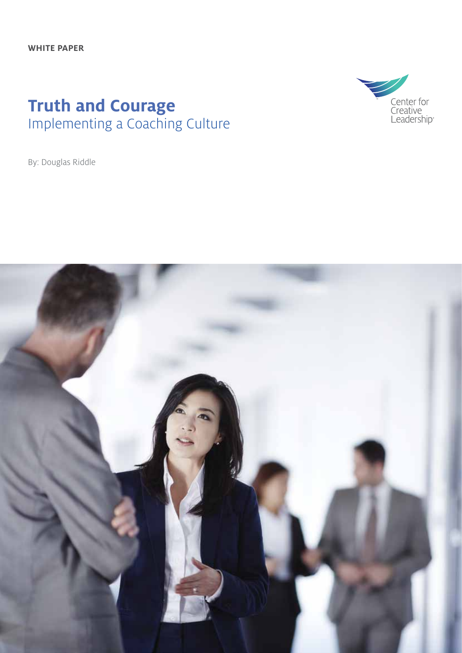### **Truth and Courage** Implementing a Coaching Culture



By: Douglas Riddle

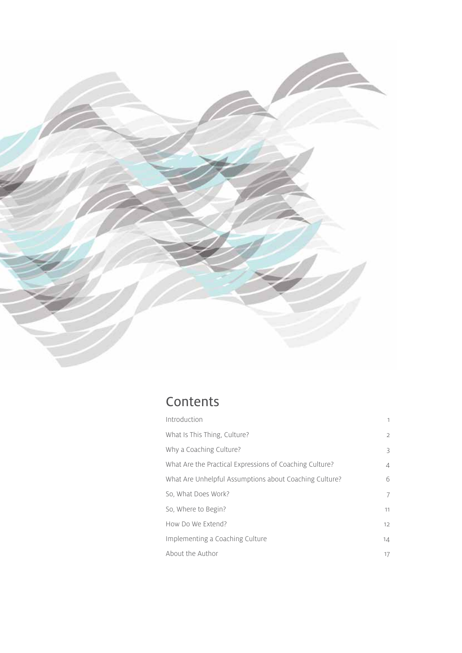

### **Contents**

| Introduction                                            | 1                 |
|---------------------------------------------------------|-------------------|
| What Is This Thing, Culture?                            | 2                 |
| Why a Coaching Culture?                                 | 3                 |
| What Are the Practical Expressions of Coaching Culture? | 4                 |
| What Are Unhelpful Assumptions about Coaching Culture?  | 6                 |
| So, What Does Work?                                     | 7                 |
| So, Where to Begin?                                     | 11                |
| How Do We Extend?                                       | $12 \overline{ }$ |
| Implementing a Coaching Culture                         | 14                |
| About the Author                                        | 17                |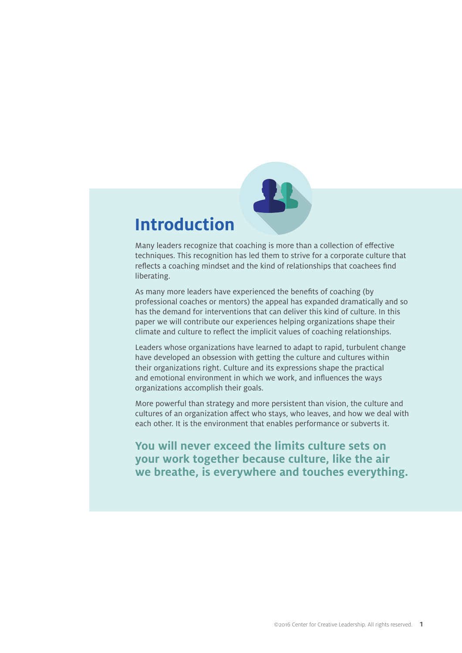# **Introduction**

Many leaders recognize that coaching is more than a collection of effective techniques. This recognition has led them to strive for a corporate culture that reflects a coaching mindset and the kind of relationships that coachees find liberating.

As many more leaders have experienced the benefits of coaching (by professional coaches or mentors) the appeal has expanded dramatically and so has the demand for interventions that can deliver this kind of culture. In this paper we will contribute our experiences helping organizations shape their climate and culture to reflect the implicit values of coaching relationships.

Leaders whose organizations have learned to adapt to rapid, turbulent change have developed an obsession with getting the culture and cultures within their organizations right. Culture and its expressions shape the practical and emotional environment in which we work, and influences the ways organizations accomplish their goals.

More powerful than strategy and more persistent than vision, the culture and cultures of an organization affect who stays, who leaves, and how we deal with each other. It is the environment that enables performance or subverts it.

**You will never exceed the limits culture sets on your work together because culture, like the air we breathe, is everywhere and touches everything.**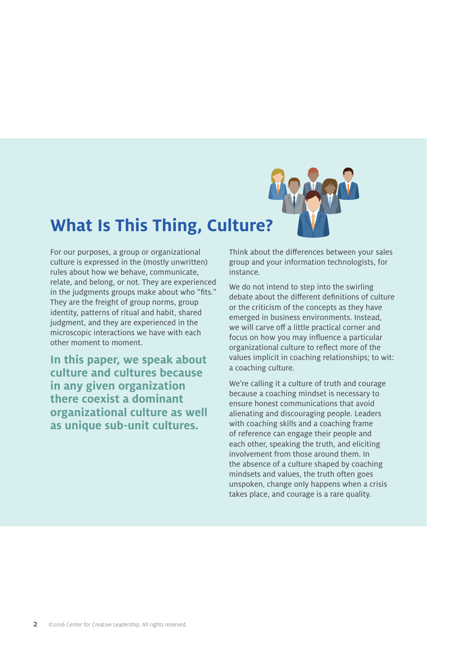

# **What Is This Thing, Culture?**

For our purposes, a group or organizational culture is expressed in the (mostly unwritten) rules about how we behave, communicate, relate, and belong, or not. They are experienced in the judgments groups make about who "fits." They are the freight of group norms, group identity, patterns of ritual and habit, shared judgment, and they are experienced in the microscopic interactions we have with each other moment to moment.

**In this paper, we speak about culture and cultures because in any given organization there coexist a dominant organizational culture as well as unique sub-unit cultures.**

Think about the differences between your sales group and your information technologists, for instance.

We do not intend to step into the swirling debate about the different definitions of culture or the criticism of the concepts as they have emerged in business environments. Instead, we will carve off a little practical corner and focus on how you may influence a particular organizational culture to reflect more of the values implicit in coaching relationships; to wit: a coaching culture.

We're calling it a culture of truth and courage because a coaching mindset is necessary to ensure honest communications that avoid alienating and discouraging people. Leaders with coaching skills and a coaching frame of reference can engage their people and each other, speaking the truth, and eliciting involvement from those around them. In the absence of a culture shaped by coaching mindsets and values, the truth often goes unspoken, change only happens when a crisis takes place, and courage is a rare quality.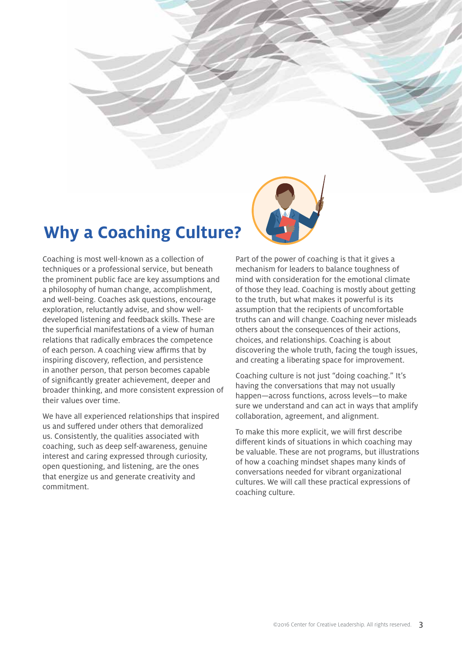

# **Why a Coaching Culture?**

Coaching is most well-known as a collection of techniques or a professional service, but beneath the prominent public face are key assumptions and a philosophy of human change, accomplishment, and well-being. Coaches ask questions, encourage exploration, reluctantly advise, and show welldeveloped listening and feedback skills. These are the superficial manifestations of a view of human relations that radically embraces the competence of each person. A coaching view affirms that by inspiring discovery, reflection, and persistence in another person, that person becomes capable of significantly greater achievement, deeper and broader thinking, and more consistent expression of their values over time.

We have all experienced relationships that inspired us and suffered under others that demoralized us. Consistently, the qualities associated with coaching, such as deep self-awareness, genuine interest and caring expressed through curiosity, open questioning, and listening, are the ones that energize us and generate creativity and commitment.

Part of the power of coaching is that it gives a mechanism for leaders to balance toughness of mind with consideration for the emotional climate of those they lead. Coaching is mostly about getting to the truth, but what makes it powerful is its assumption that the recipients of uncomfortable truths can and will change. Coaching never misleads others about the consequences of their actions, choices, and relationships. Coaching is about discovering the whole truth, facing the tough issues, and creating a liberating space for improvement.

Coaching culture is not just "doing coaching." It's having the conversations that may not usually happen—across functions, across levels—to make sure we understand and can act in ways that amplify collaboration, agreement, and alignment.

To make this more explicit, we will first describe different kinds of situations in which coaching may be valuable. These are not programs, but illustrations of how a coaching mindset shapes many kinds of conversations needed for vibrant organizational cultures. We will call these practical expressions of coaching culture.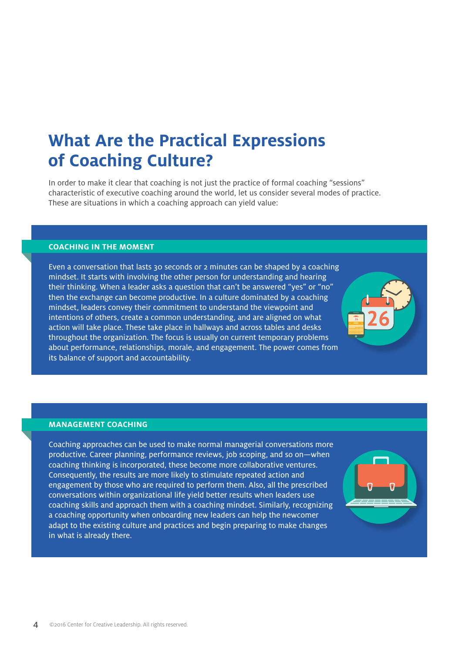# **What Are the Practical Expressions of Coaching Culture?**

In order to make it clear that coaching is not just the practice of formal coaching "sessions" characteristic of executive coaching around the world, let us consider several modes of practice. These are situations in which a coaching approach can yield value:

#### **COACHING IN THE MOMENT**

Even a conversation that lasts 30 seconds or 2 minutes can be shaped by a coaching mindset. It starts with involving the other person for understanding and hearing their thinking. When a leader asks a question that can't be answered "yes" or "no" then the exchange can become productive. In a culture dominated by a coaching mindset, leaders convey their commitment to understand the viewpoint and intentions of others, create a common understanding, and are aligned on what action will take place. These take place in hallways and across tables and desks throughout the organization. The focus is usually on current temporary problems about performance, relationships, morale, and engagement. The power comes from its balance of support and accountability.

#### **MANAGEMENT COACHING**

Coaching approaches can be used to make normal managerial conversations more productive. Career planning, performance reviews, job scoping, and so on—when coaching thinking is incorporated, these become more collaborative ventures. Consequently, the results are more likely to stimulate repeated action and engagement by those who are required to perform them. Also, all the prescribed conversations within organizational life yield better results when leaders use coaching skills and approach them with a coaching mindset. Similarly, recognizing a coaching opportunity when onboarding new leaders can help the newcomer adapt to the existing culture and practices and begin preparing to make changes in what is already there.

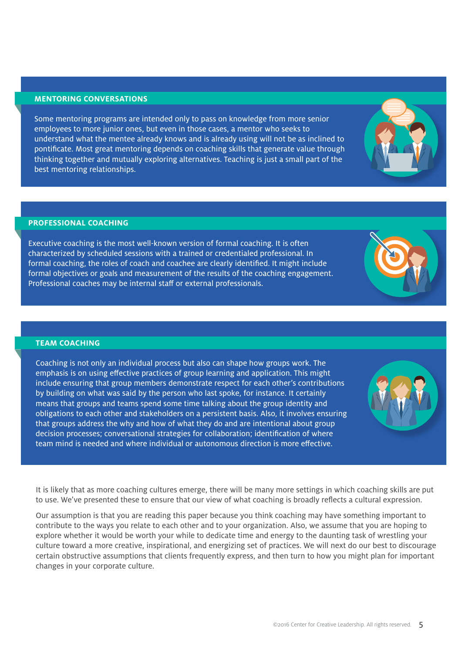#### **MENTORING CONVERSATIONS**

Some mentoring programs are intended only to pass on knowledge from more senior employees to more junior ones, but even in those cases, a mentor who seeks to understand what the mentee already knows and is already using will not be as inclined to pontificate. Most great mentoring depends on coaching skills that generate value through thinking together and mutually exploring alternatives. Teaching is just a small part of the best mentoring relationships.

#### **PROFESSIONAL COACHING**

Executive coaching is the most well-known version of formal coaching. It is often characterized by scheduled sessions with a trained or credentialed professional. In formal coaching, the roles of coach and coachee are clearly identified. It might include formal objectives or goals and measurement of the results of the coaching engagement. Professional coaches may be internal staff or external professionals.

#### **TEAM COACHING**

Coaching is not only an individual process but also can shape how groups work. The emphasis is on using effective practices of group learning and application. This might include ensuring that group members demonstrate respect for each other's contributions by building on what was said by the person who last spoke, for instance. It certainly means that groups and teams spend some time talking about the group identity and obligations to each other and stakeholders on a persistent basis. Also, it involves ensuring that groups address the why and how of what they do and are intentional about group decision processes; conversational strategies for collaboration; identification of where team mind is needed and where individual or autonomous direction is more effective.

It is likely that as more coaching cultures emerge, there will be many more settings in which coaching skills are put to use. We've presented these to ensure that our view of what coaching is broadly reflects a cultural expression.

Our assumption is that you are reading this paper because you think coaching may have something important to contribute to the ways you relate to each other and to your organization. Also, we assume that you are hoping to explore whether it would be worth your while to dedicate time and energy to the daunting task of wrestling your culture toward a more creative, inspirational, and energizing set of practices. We will next do our best to discourage certain obstructive assumptions that clients frequently express, and then turn to how you might plan for important changes in your corporate culture.





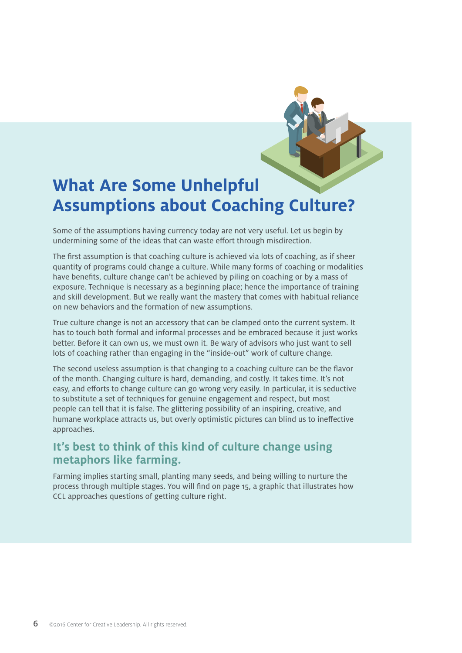# **What Are Some Unhelpful Assumptions about Coaching Culture?**

Some of the assumptions having currency today are not very useful. Let us begin by undermining some of the ideas that can waste effort through misdirection.

The first assumption is that coaching culture is achieved via lots of coaching, as if sheer quantity of programs could change a culture. While many forms of coaching or modalities have benefits, culture change can't be achieved by piling on coaching or by a mass of exposure. Technique is necessary as a beginning place; hence the importance of training and skill development. But we really want the mastery that comes with habitual reliance on new behaviors and the formation of new assumptions.

True culture change is not an accessory that can be clamped onto the current system. It has to touch both formal and informal processes and be embraced because it just works better. Before it can own us, we must own it. Be wary of advisors who just want to sell lots of coaching rather than engaging in the "inside-out" work of culture change.

The second useless assumption is that changing to a coaching culture can be the flavor of the month. Changing culture is hard, demanding, and costly. It takes time. It's not easy, and efforts to change culture can go wrong very easily. In particular, it is seductive to substitute a set of techniques for genuine engagement and respect, but most people can tell that it is false. The glittering possibility of an inspiring, creative, and humane workplace attracts us, but overly optimistic pictures can blind us to ineffective approaches.

### **It's best to think of this kind of culture change using metaphors like farming.**

Farming implies starting small, planting many seeds, and being willing to nurture the process through multiple stages. You will find on page 15, a graphic that illustrates how CCL approaches questions of getting culture right.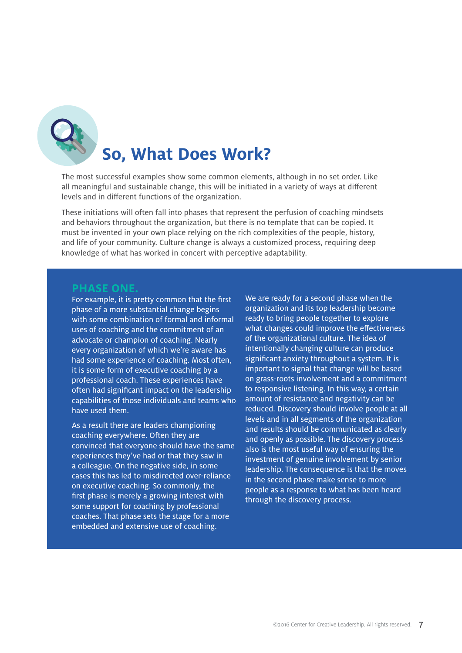

The most successful examples show some common elements, although in no set order. Like all meaningful and sustainable change, this will be initiated in a variety of ways at different levels and in different functions of the organization.

These initiations will often fall into phases that represent the perfusion of coaching mindsets and behaviors throughout the organization, but there is no template that can be copied. It must be invented in your own place relying on the rich complexities of the people, history, and life of your community. Culture change is always a customized process, requiring deep knowledge of what has worked in concert with perceptive adaptability.

#### **PHASE ONE.**

For example, it is pretty common that the first phase of a more substantial change begins with some combination of formal and informal uses of coaching and the commitment of an advocate or champion of coaching. Nearly every organization of which we're aware has had some experience of coaching. Most often, it is some form of executive coaching by a professional coach. These experiences have often had significant impact on the leadership capabilities of those individuals and teams who have used them.

As a result there are leaders championing coaching everywhere. Often they are convinced that everyone should have the same experiences they've had or that they saw in a colleague. On the negative side, in some cases this has led to misdirected over-reliance on executive coaching. So commonly, the first phase is merely a growing interest with some support for coaching by professional coaches. That phase sets the stage for a more embedded and extensive use of coaching.

We are ready for a second phase when the organization and its top leadership become ready to bring people together to explore what changes could improve the effectiveness of the organizational culture. The idea of intentionally changing culture can produce significant anxiety throughout a system. It is important to signal that change will be based on grass-roots involvement and a commitment to responsive listening. In this way, a certain amount of resistance and negativity can be reduced. Discovery should involve people at all levels and in all segments of the organization and results should be communicated as clearly and openly as possible. The discovery process also is the most useful way of ensuring the investment of genuine involvement by senior leadership. The consequence is that the moves in the second phase make sense to more people as a response to what has been heard through the discovery process.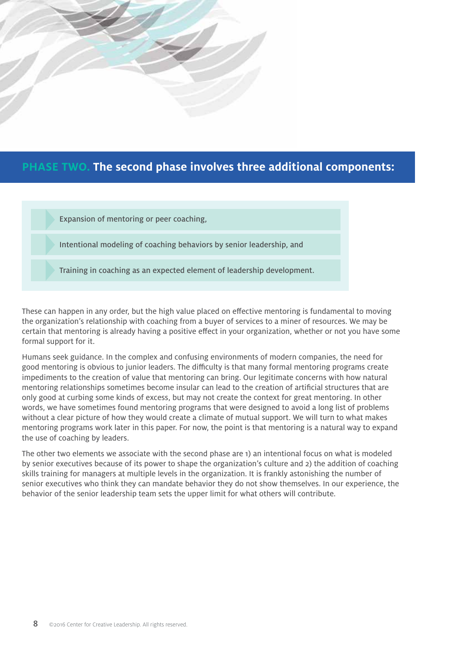

### **PHASE TWO. The second phase involves three additional components:**

Expansion of mentoring or peer coaching,

Intentional modeling of coaching behaviors by senior leadership, and

Training in coaching as an expected element of leadership development.

These can happen in any order, but the high value placed on effective mentoring is fundamental to moving the organization's relationship with coaching from a buyer of services to a miner of resources. We may be certain that mentoring is already having a positive effect in your organization, whether or not you have some formal support for it.

Humans seek guidance. In the complex and confusing environments of modern companies, the need for good mentoring is obvious to junior leaders. The difficulty is that many formal mentoring programs create impediments to the creation of value that mentoring can bring. Our legitimate concerns with how natural mentoring relationships sometimes become insular can lead to the creation of artificial structures that are only good at curbing some kinds of excess, but may not create the context for great mentoring. In other words, we have sometimes found mentoring programs that were designed to avoid a long list of problems without a clear picture of how they would create a climate of mutual support. We will turn to what makes mentoring programs work later in this paper. For now, the point is that mentoring is a natural way to expand the use of coaching by leaders.

The other two elements we associate with the second phase are 1) an intentional focus on what is modeled by senior executives because of its power to shape the organization's culture and 2) the addition of coaching skills training for managers at multiple levels in the organization. It is frankly astonishing the number of senior executives who think they can mandate behavior they do not show themselves. In our experience, the behavior of the senior leadership team sets the upper limit for what others will contribute.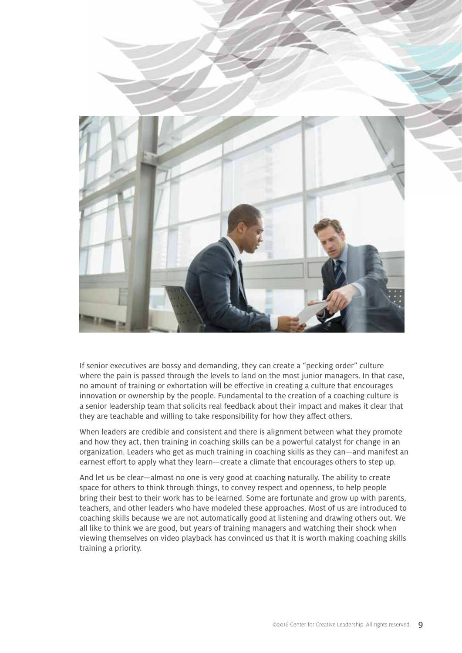

If senior executives are bossy and demanding, they can create a "pecking order" culture where the pain is passed through the levels to land on the most junior managers. In that case, no amount of training or exhortation will be effective in creating a culture that encourages innovation or ownership by the people. Fundamental to the creation of a coaching culture is a senior leadership team that solicits real feedback about their impact and makes it clear that they are teachable and willing to take responsibility for how they affect others.

When leaders are credible and consistent and there is alignment between what they promote and how they act, then training in coaching skills can be a powerful catalyst for change in an organization. Leaders who get as much training in coaching skills as they can—and manifest an earnest effort to apply what they learn—create a climate that encourages others to step up.

And let us be clear—almost no one is very good at coaching naturally. The ability to create space for others to think through things, to convey respect and openness, to help people bring their best to their work has to be learned. Some are fortunate and grow up with parents, teachers, and other leaders who have modeled these approaches. Most of us are introduced to coaching skills because we are not automatically good at listening and drawing others out. We all like to think we are good, but years of training managers and watching their shock when viewing themselves on video playback has convinced us that it is worth making coaching skills training a priority.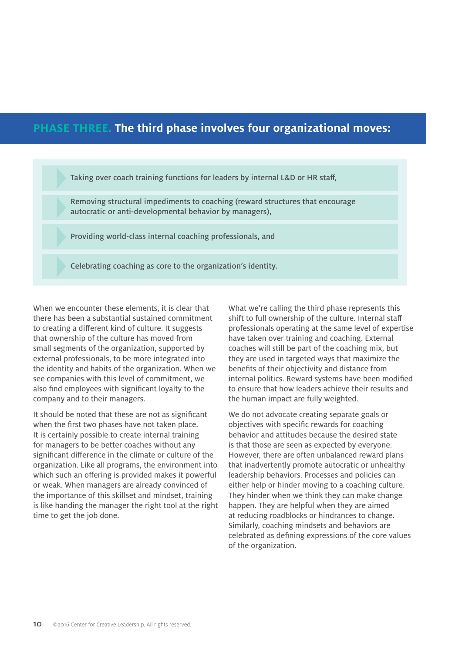### **PHASE THREE. The third phase involves four organizational moves:**

Taking over coach training functions for leaders by internal L&D or HR staff,

Removing structural impediments to coaching (reward structures that encourage autocratic or anti-developmental behavior by managers),

Providing world-class internal coaching professionals, and

Celebrating coaching as core to the organization's identity.

When we encounter these elements, it is clear that there has been a substantial sustained commitment to creating a different kind of culture. It suggests that ownership of the culture has moved from small segments of the organization, supported by external professionals, to be more integrated into the identity and habits of the organization. When we see companies with this level of commitment, we also find employees with significant loyalty to the company and to their managers.

It should be noted that these are not as significant when the first two phases have not taken place. It is certainly possible to create internal training for managers to be better coaches without any significant difference in the climate or culture of the organization. Like all programs, the environment into which such an offering is provided makes it powerful or weak. When managers are already convinced of the importance of this skillset and mindset, training is like handing the manager the right tool at the right time to get the job done.

What we're calling the third phase represents this shift to full ownership of the culture. Internal staff professionals operating at the same level of expertise have taken over training and coaching. External coaches will still be part of the coaching mix, but they are used in targeted ways that maximize the benefits of their objectivity and distance from internal politics. Reward systems have been modified to ensure that how leaders achieve their results and the human impact are fully weighted.

We do not advocate creating separate goals or objectives with specific rewards for coaching behavior and attitudes because the desired state is that those are seen as expected by everyone. However, there are often unbalanced reward plans that inadvertently promote autocratic or unhealthy leadership behaviors. Processes and policies can either help or hinder moving to a coaching culture. They hinder when we think they can make change happen. They are helpful when they are aimed at reducing roadblocks or hindrances to change. Similarly, coaching mindsets and behaviors are celebrated as defining expressions of the core values of the organization.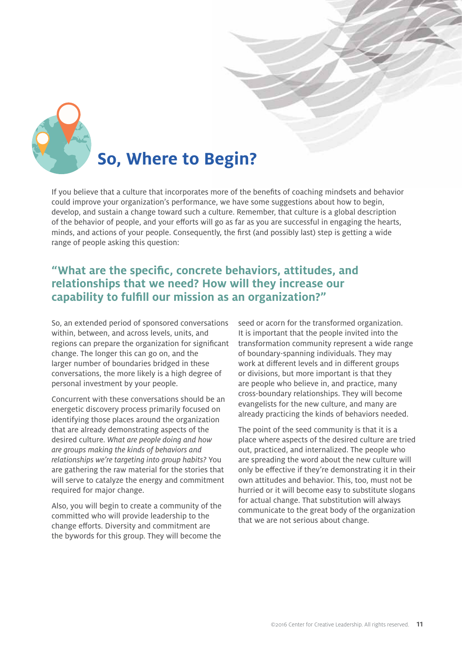

# **So, Where to Begin?**

If you believe that a culture that incorporates more of the benefits of coaching mindsets and behavior could improve your organization's performance, we have some suggestions about how to begin, develop, and sustain a change toward such a culture. Remember, that culture is a global description of the behavior of people, and your efforts will go as far as you are successful in engaging the hearts, minds, and actions of your people. Consequently, the first (and possibly last) step is getting a wide range of people asking this question:

### **"What are the specific, concrete behaviors, attitudes, and relationships that we need? How will they increase our capability to fulfill our mission as an organization?"**

So, an extended period of sponsored conversations within, between, and across levels, units, and regions can prepare the organization for significant change. The longer this can go on, and the larger number of boundaries bridged in these conversations, the more likely is a high degree of personal investment by your people.

Concurrent with these conversations should be an energetic discovery process primarily focused on identifying those places around the organization that are already demonstrating aspects of the desired culture. *What are people doing and how are groups making the kinds of behaviors and relationships we're targeting into group habits?* You are gathering the raw material for the stories that will serve to catalyze the energy and commitment required for major change.

Also, you will begin to create a community of the committed who will provide leadership to the change efforts. Diversity and commitment are the bywords for this group. They will become the

seed or acorn for the transformed organization. It is important that the people invited into the transformation community represent a wide range of boundary-spanning individuals. They may work at different levels and in different groups or divisions, but more important is that they are people who believe in, and practice, many cross-boundary relationships. They will become evangelists for the new culture, and many are already practicing the kinds of behaviors needed.

The point of the seed community is that it is a place where aspects of the desired culture are tried out, practiced, and internalized. The people who are spreading the word about the new culture will only be effective if they're demonstrating it in their own attitudes and behavior. This, too, must not be hurried or it will become easy to substitute slogans for actual change. That substitution will always communicate to the great body of the organization that we are not serious about change.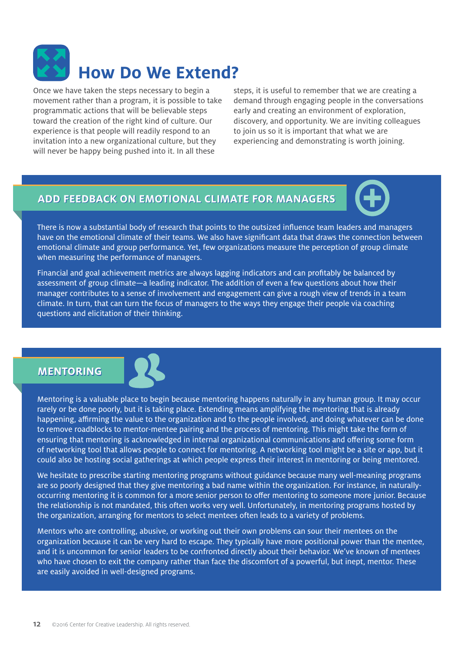

Once we have taken the steps necessary to begin a movement rather than a program, it is possible to take programmatic actions that will be believable steps toward the creation of the right kind of culture. Our experience is that people will readily respond to an invitation into a new organizational culture, but they will never be happy being pushed into it. In all these

steps, it is useful to remember that we are creating a demand through engaging people in the conversations early and creating an environment of exploration, discovery, and opportunity. We are inviting colleagues to join us so it is important that what we are experiencing and demonstrating is worth joining.

#### **ADD FEEDBACK ON EMOTIONAL CLIMATE FOR MANAGERS FEEDBACK ON EMOTIONAL CLIMATE FOR MANAGERS**



There is now a substantial body of research that points to the outsized influence team leaders and managers have on the emotional climate of their teams. We also have significant data that draws the connection between emotional climate and group performance. Yet, few organizations measure the perception of group climate when measuring the performance of managers.

Financial and goal achievement metrics are always lagging indicators and can profitably be balanced by assessment of group climate—a leading indicator. The addition of even a few questions about how their manager contributes to a sense of involvement and engagement can give a rough view of trends in a team climate. In turn, that can turn the focus of managers to the ways they engage their people via coaching questions and elicitation of their thinking.

#### **MENTORING MENTORING**



Mentoring is a valuable place to begin because mentoring happens naturally in any human group. It may occur rarely or be done poorly, but it is taking place. Extending means amplifying the mentoring that is already happening, affirming the value to the organization and to the people involved, and doing whatever can be done to remove roadblocks to mentor-mentee pairing and the process of mentoring. This might take the form of ensuring that mentoring is acknowledged in internal organizational communications and offering some form of networking tool that allows people to connect for mentoring. A networking tool might be a site or app, but it could also be hosting social gatherings at which people express their interest in mentoring or being mentored.

We hesitate to prescribe starting mentoring programs without guidance because many well-meaning programs are so poorly designed that they give mentoring a bad name within the organization. For instance, in naturallyoccurring mentoring it is common for a more senior person to offer mentoring to someone more junior. Because the relationship is not mandated, this often works very well. Unfortunately, in mentoring programs hosted by the organization, arranging for mentors to select mentees often leads to a variety of problems.

Mentors who are controlling, abusive, or working out their own problems can sour their mentees on the organization because it can be very hard to escape. They typically have more positional power than the mentee, and it is uncommon for senior leaders to be confronted directly about their behavior. We've known of mentees who have chosen to exit the company rather than face the discomfort of a powerful, but inept, mentor. These are easily avoided in well-designed programs.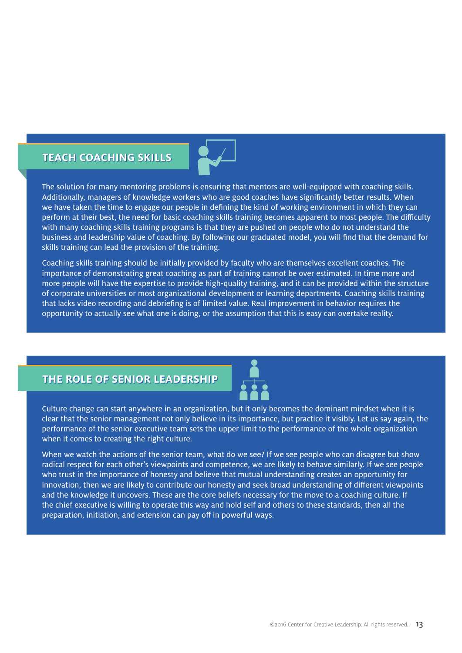#### **TEACH COACHING SKILLS TEACH COACHING SKILLS**



The solution for many mentoring problems is ensuring that mentors are well-equipped with coaching skills. Additionally, managers of knowledge workers who are good coaches have significantly better results. When we have taken the time to engage our people in defining the kind of working environment in which they can perform at their best, the need for basic coaching skills training becomes apparent to most people. The difficulty with many coaching skills training programs is that they are pushed on people who do not understand the business and leadership value of coaching. By following our graduated model, you will find that the demand for skills training can lead the provision of the training.

Coaching skills training should be initially provided by faculty who are themselves excellent coaches. The importance of demonstrating great coaching as part of training cannot be over estimated. In time more and more people will have the expertise to provide high-quality training, and it can be provided within the structure of corporate universities or most organizational development or learning departments. Coaching skills training that lacks video recording and debriefing is of limited value. Real improvement in behavior requires the opportunity to actually see what one is doing, or the assumption that this is easy can overtake reality.

### **THE ROLE OF SENIOR LEADERSHIP THE ROLE OF SENIOR LEADERSHIP**



Culture change can start anywhere in an organization, but it only becomes the dominant mindset when it is clear that the senior management not only believe in its importance, but practice it visibly. Let us say again, the performance of the senior executive team sets the upper limit to the performance of the whole organization when it comes to creating the right culture.

When we watch the actions of the senior team, what do we see? If we see people who can disagree but show radical respect for each other's viewpoints and competence, we are likely to behave similarly. If we see people who trust in the importance of honesty and believe that mutual understanding creates an opportunity for innovation, then we are likely to contribute our honesty and seek broad understanding of different viewpoints and the knowledge it uncovers. These are the core beliefs necessary for the move to a coaching culture. If the chief executive is willing to operate this way and hold self and others to these standards, then all the preparation, initiation, and extension can pay off in powerful ways.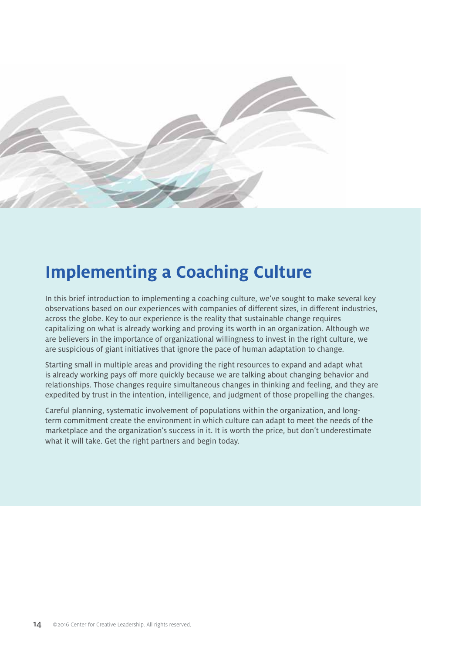

# **Implementing a Coaching Culture**

In this brief introduction to implementing a coaching culture, we've sought to make several key observations based on our experiences with companies of different sizes, in different industries, across the globe. Key to our experience is the reality that sustainable change requires capitalizing on what is already working and proving its worth in an organization. Although we are believers in the importance of organizational willingness to invest in the right culture, we are suspicious of giant initiatives that ignore the pace of human adaptation to change.

Starting small in multiple areas and providing the right resources to expand and adapt what is already working pays off more quickly because we are talking about changing behavior and relationships. Those changes require simultaneous changes in thinking and feeling, and they are expedited by trust in the intention, intelligence, and judgment of those propelling the changes.

Careful planning, systematic involvement of populations within the organization, and longterm commitment create the environment in which culture can adapt to meet the needs of the marketplace and the organization's success in it. It is worth the price, but don't underestimate what it will take. Get the right partners and begin today.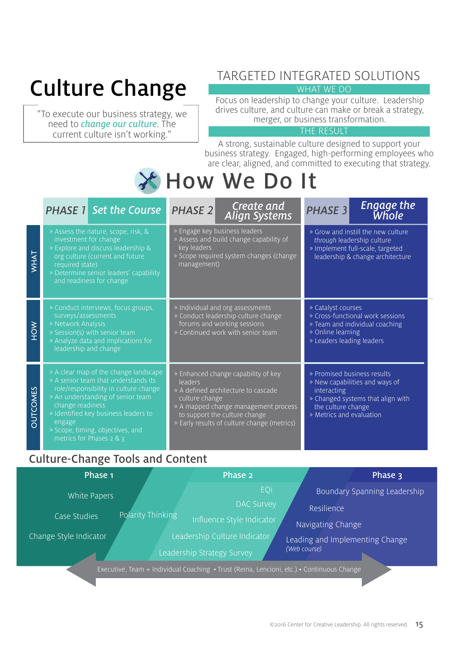# Culture Change

"To execute our business strategy, we need to change our culture. The current culture isn't working."

### TARGETED INTEGRATED SOLUTIONS

WHAT WE DO

Focus on leadership to change your culture. Leadership drives culture, and culture can make or break a strategy, merger, or business transformation.

#### THE RESULT

A strong, sustainable culture designed to support your business strategy. Engaged, high-performing employees who are clear, aligned, and committed to executing that strategy.

# How We Do It

|                 | <b>PHASE 1</b> Set the Course                                                                                                                                                                                                                                                                         | Create and<br><b>PHASE 2</b><br><b>Align Systems</b>                                                                                                                                                                            | <b>Engage the</b><br><b>PHASE 3</b><br>Whole                                                                                                                        |
|-----------------|-------------------------------------------------------------------------------------------------------------------------------------------------------------------------------------------------------------------------------------------------------------------------------------------------------|---------------------------------------------------------------------------------------------------------------------------------------------------------------------------------------------------------------------------------|---------------------------------------------------------------------------------------------------------------------------------------------------------------------|
| WHAT            | » Assess the nature, scope, risk, &<br>investment for change<br>» Explore and discuss leadership &<br>org culture (current and future<br>required state)<br>» Determine senior leaders' capability<br>and readiness for change                                                                        | » Engage key business leaders<br>» Assess and build change capability of<br>key leaders<br>» Scope required system changes (change<br>management)                                                                               | » Grow and instill the new culture<br>through leadership culture<br>» Implement full-scale, targeted<br>leadership & change architecture                            |
| <b>NOH</b>      | » Conduct interviews, focus groups,<br>surveys/assessments<br>» Network Analysis<br>» Session(s) with senior team<br>» Analyze data and implications for<br>leadership and change                                                                                                                     | » Individual and org assessments<br>» Conduct leadership culture change<br>forums and working sessions<br>» Continued work with senior team                                                                                     | » Catalyst courses<br>» Cross-functional work sessions<br>» Team and individual coaching<br>» Online learning<br>» Leaders leading leaders                          |
| <b>OUTCOMES</b> | » A clear map of the change landscape<br>» A senior team that understands its<br>role/responsibility in culture change<br>» An understanding of senior team<br>change readiness<br>» Identified key business leaders to<br>engage<br>» Scope, timing, objectives, and<br>metrics for Phases $2 & 8$ 3 | » Enhanced change capability of key<br>leaders<br>» A defined architecture to cascade<br>culture change<br>» A mapped change management process<br>to support the culture change<br>» Early results of culture change (metrics) | » Promised business results<br>» New capabilities and ways of<br>interacting<br>» Changed systems that align with<br>the culture change<br>» Metrics and evaluation |

### Culture-Change Tools and Content

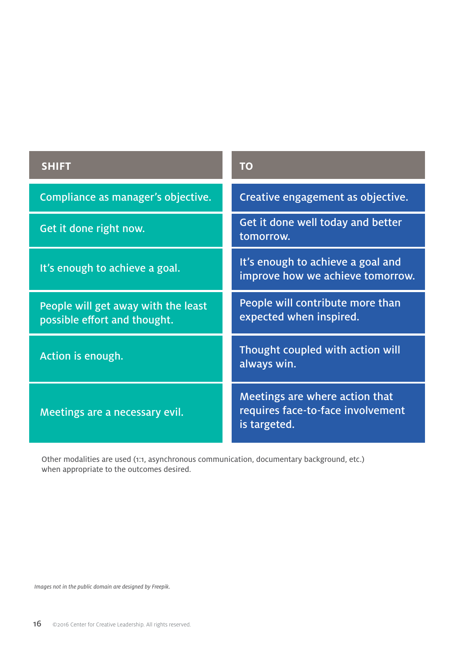| <b>SHIFT</b>                                                        | <b>TO</b>                                                                           |
|---------------------------------------------------------------------|-------------------------------------------------------------------------------------|
| Compliance as manager's objective.                                  | Creative engagement as objective.                                                   |
| Get it done right now.                                              | Get it done well today and better<br>tomorrow.                                      |
| It's enough to achieve a goal.                                      | It's enough to achieve a goal and<br>improve how we achieve tomorrow.               |
| People will get away with the least<br>possible effort and thought. | People will contribute more than<br>expected when inspired.                         |
| Action is enough.                                                   | Thought coupled with action will<br>always win.                                     |
| Meetings are a necessary evil.                                      | Meetings are where action that<br>requires face-to-face involvement<br>is targeted. |

Other modalities are used (1:1, asynchronous communication, documentary background, etc.) when appropriate to the outcomes desired.

*Images not in the public domain are designed by Freepik.*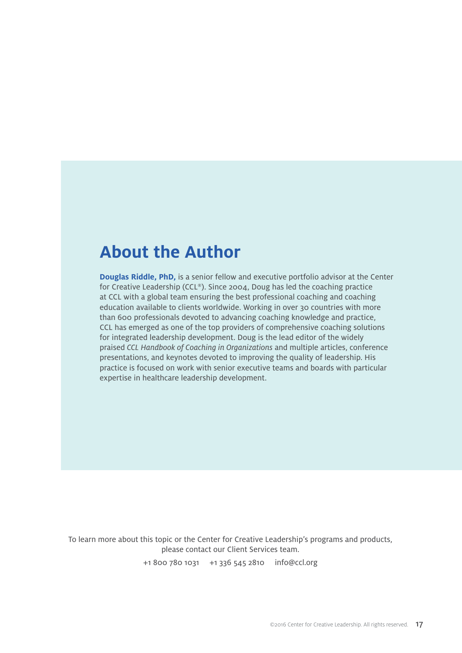### **About the Author**

**Douglas Riddle, PhD,** is a senior fellow and executive portfolio advisor at the Center for Creative Leadership (CCL®). Since 2004, Doug has led the coaching practice at CCL with a global team ensuring the best professional coaching and coaching education available to clients worldwide. Working in over 30 countries with more than 600 professionals devoted to advancing coaching knowledge and practice, CCL has emerged as one of the top providers of comprehensive coaching solutions for integrated leadership development. Doug is the lead editor of the widely praised *CCL Handbook of Coaching in Organizations* and multiple articles, conference presentations, and keynotes devoted to improving the quality of leadership. His practice is focused on work with senior executive teams and boards with particular expertise in healthcare leadership development.

To learn more about this topic or the Center for Creative Leadership's programs and products, please contact our Client Services team.

+1 800 780 1031 +1 336 545 2810 info@ccl.org